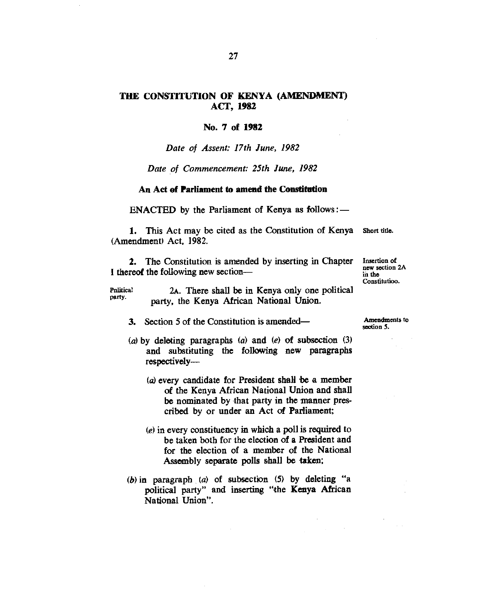# **THE CONSTITUTION OF KENYA (AMENDMENT) ACT, 1982**

## **No. 7 of 1982**

## *Date of Assent: 17th June, 1982*

#### *Date of Commencement: 25th June, 1982*

#### **An Act of Parliament to amend the Constitution**

ENACTED by the Parliament of Kenya as follows :-

1. This Act may be cited as the Constitution of Kenya Short title. (Amendment) Act, 1982.

2. The Constitution is amended by inserting in Chapter Insertion of I thereof the following new section—

new section 2A in the Constitutioo.

**P**nlitical party. 2A. There shall *be* in Kenya only one political party, the Kenya African National Union.

3. Section 5 of the Constitution is amended—

- (a)by deleting paragraphs (a) and *(e)* of subsection (3) and substituting the following new paragraphs respectively—
	- (a) every candidate for President shall be a member of the Kenya African National Union and shall be nominated by that party in the manner prescribed by or under an Act of Parliament;
	- *(e)* in every constituency in which a poll is required to be taken both for the election of a President and for the election of a member of the National Assembly separate polls shall be taken;
- *(b)in* paragraph (a) of subsection (5) by deleting "a political party" and inserting "the Kenya African National Union".

Amendments to section 5.

 $\mathcal{L}^{\text{max}}_{\text{max}}$  and  $\mathcal{L}^{\text{max}}_{\text{max}}$